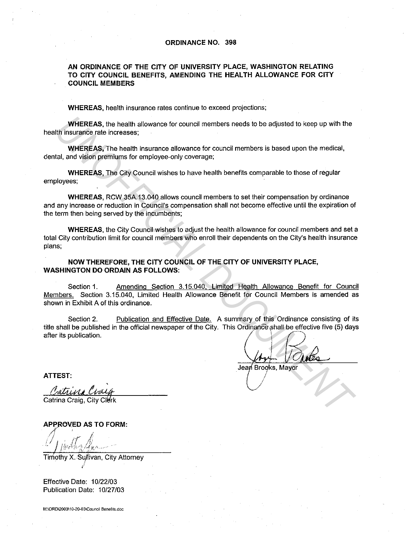## **ORDINANCE NO. 398**

## **AN ORDINANCE OF THE CITY OF UNIVERSITY PLACE, WASHINGTON RELATING**  TO CITY COUNCIL BENEFITS, AMENDING THE HEALTH ALLOWANCE FOR CITY **COUNCIL MEMBERS**

**WHEREAS,** health insurance rates continue to exceed projections;

**WHEREAS,** the health allowance for council members needs to be adjusted to keep up with the health insurance rate increases;

**WHEREAS,** The health insurance allowance for council members is based upon the medical, dental, and vision premiums for employee-only coverage;

**WHEREAS,** The City Council wishes to have health benefits comparable to those of regular employees;

**WHEREAS,** RCW 35A.13.040 allows council members to set their compensation by ordinance and any increase or reduction in Council's compensation shall not become effective until the expiration of the term then being served by the incumbents;

**WHEREAS,** the City Council wishes to adjust the health allowance for council members and set a total City contribution limit for council members who enroll their dependents on the City's health insurance plans;

**NOW THEREFORE, THE CITY COUNCIL OF THE CITY OF UNIVERSITY PLACE, WASHINGTON DO ORDAIN AS FOLLOWS:** 

Section 1. Amending Section 3.15.040. Limited Health Allowance Benefit for Council Members. Section 3.15.040, Limited Health Allowance Benefit for Council Members is amended as shown in Exhibit A of this ordinance.

Section 2. Publication and Effective Date. A summary of this Ordinance consisting of its title shall be published in the official newspaper of the City. This Ordinance shall be effective five (5) days after its publication. WHEREAS, the health allowance for council members needs to be adjusted to keep up with the<br> **UNIFICIALS, The health is surance allowance for council members is based upon the medical,<br>
WHEREAS, The health is urance allowan** 

 $\sqrt{5}$ .  $1/0$ Jean Brooks, Mayor

,/ *<sup>j</sup>*

**ATTEST:** 

Catrina Craig Catrina Craig, City Clerk

**APPROVED AS TO FORM:** 

Timothy X. Sullivan, City Attorney

Effective Date: 10/22/03 Publication Date: 10/27/03